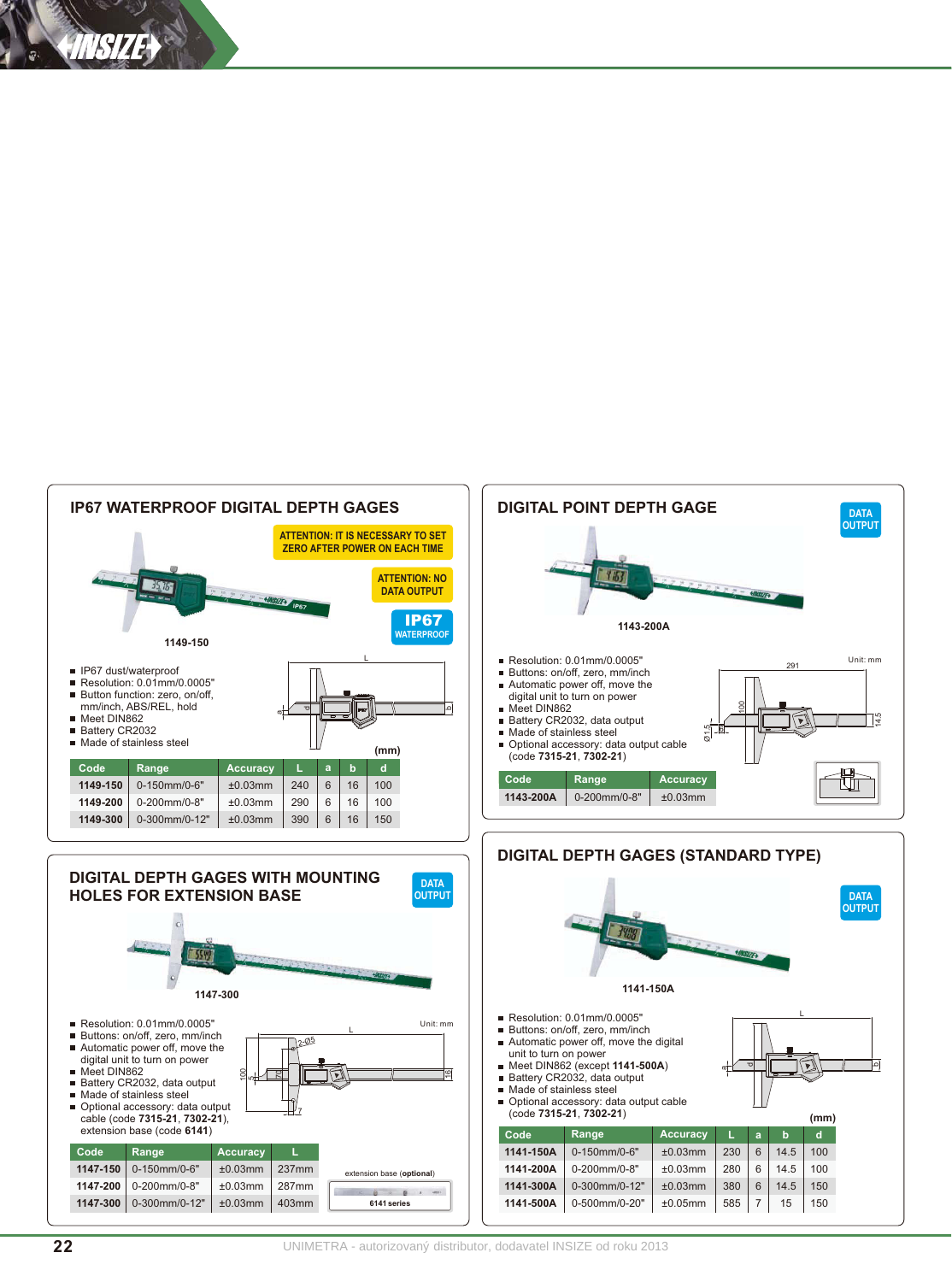



Accuracy

 $±0.03mm$ 

 $+0.03$ mm

 $±0.03mm$ 

 $±0.05mm$ 

**DATA OUTPUT** 

∣≏[

 $(mm)$ 

 $\mathbf{d}$ 

 $100\,$ 

100

150

150

a  $\mathbf b$ 

230  $\,6$ 14.5

280  $\kappa$  $14.5$ 

380  $\,6\,$  $14.5$ 

585  $\overline{7}$ 15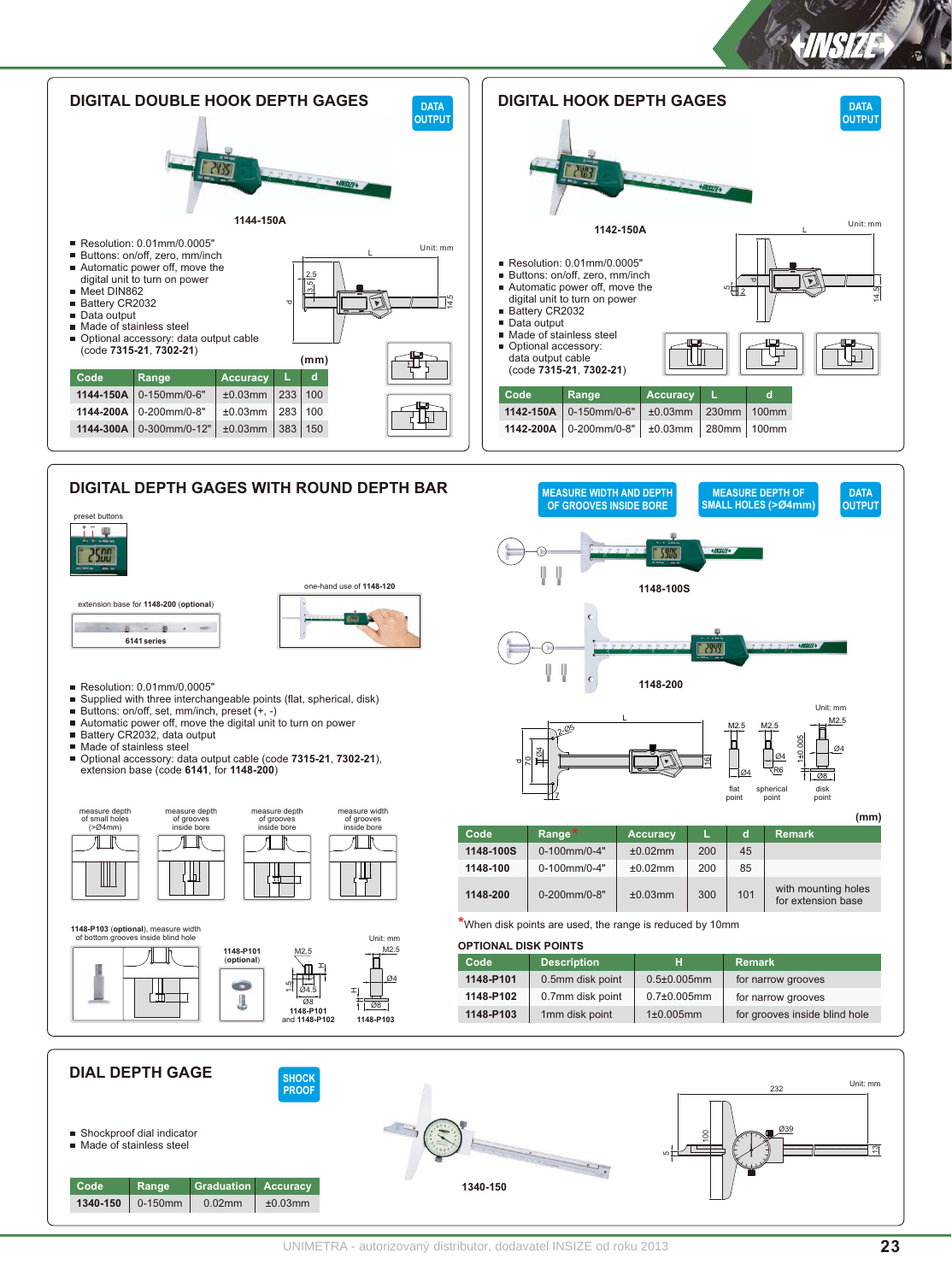



extension base for 1148-200 (optional)

 $\begin{array}{cccccccccccccc} \bullet & \bullet & \bullet & \bullet & \bullet & \circ \bullet \end{array}$ 



 **-4+.%+4** 6141 series

- 
- 
- 
- 
- Made of stainless steel
- Optional accessory: data output cable (code **7315-21**, **7302-21**),<br>extension base (code **6141**, for **1148-200**)







M<sub>2.5</sub>



| .<br>of arooves | of grooves  | (mm)      |                         |                 |     |     |                                           |
|-----------------|-------------|-----------|-------------------------|-----------------|-----|-----|-------------------------------------------|
| inside bore     | inside bore | Code      | Range <sup>*</sup>      | <b>Accuracy</b> |     | c   | <b>Remark</b>                             |
| 曲               |             | 1148-100S | $0-100$ mm/0-4"         | ±0.02mm         | 200 | 45  |                                           |
|                 |             | 1148-100  | $0-100$ mm/0-4"         | ±0.02mm         | 200 | 85  |                                           |
|                 |             | 1148-200  | $0 - 200$ mm/ $0 - 8$ " | ±0.03mm         | 300 | 101 | with mounting holes<br>for extension base |

point

point

the points are used, the range is reduced by 10mm that the range is reduced by 10mm of the range is reduced by 10mm of the range is reduced by 10mm of the range is reduced by 10mm of the range is reduced by 10mm of the ran

7

|  |  | 1148-P101<br>(optional)<br><b>CO</b><br>U | M2.5<br>νπ<br>$\overline{\odot}$ 4.5<br>$\sqrt{08}$<br>1148-P101<br>and 1148-P102 | M2.5<br>$\frac{104}{}$<br>$\sim$<br>$\sqrt{28}$<br>1148-P103 | <u> 91 TIVITAL DIVITT VIITTU</u> |                    |                    |                               |
|--|--|-------------------------------------------|-----------------------------------------------------------------------------------|--------------------------------------------------------------|----------------------------------|--------------------|--------------------|-------------------------------|
|  |  |                                           |                                                                                   |                                                              | Code                             | <b>Description</b> |                    | <b>Remark</b>                 |
|  |  |                                           |                                                                                   |                                                              | 1148-P101                        | 0.5mm disk point   | $0.5 \pm 0.005$ mm | for narrow grooves            |
|  |  |                                           |                                                                                   |                                                              | 1148-P102                        | 0.7mm disk point   | $0.7{\pm}0.005$ mm | for narrow grooves            |
|  |  |                                           |                                                                                   |                                                              | 1148-P103                        | 1mm disk point     | $1\pm0.005$ mm     | for grooves inside blind hole |
|  |  |                                           |                                                                                   |                                                              |                                  |                    |                    |                               |

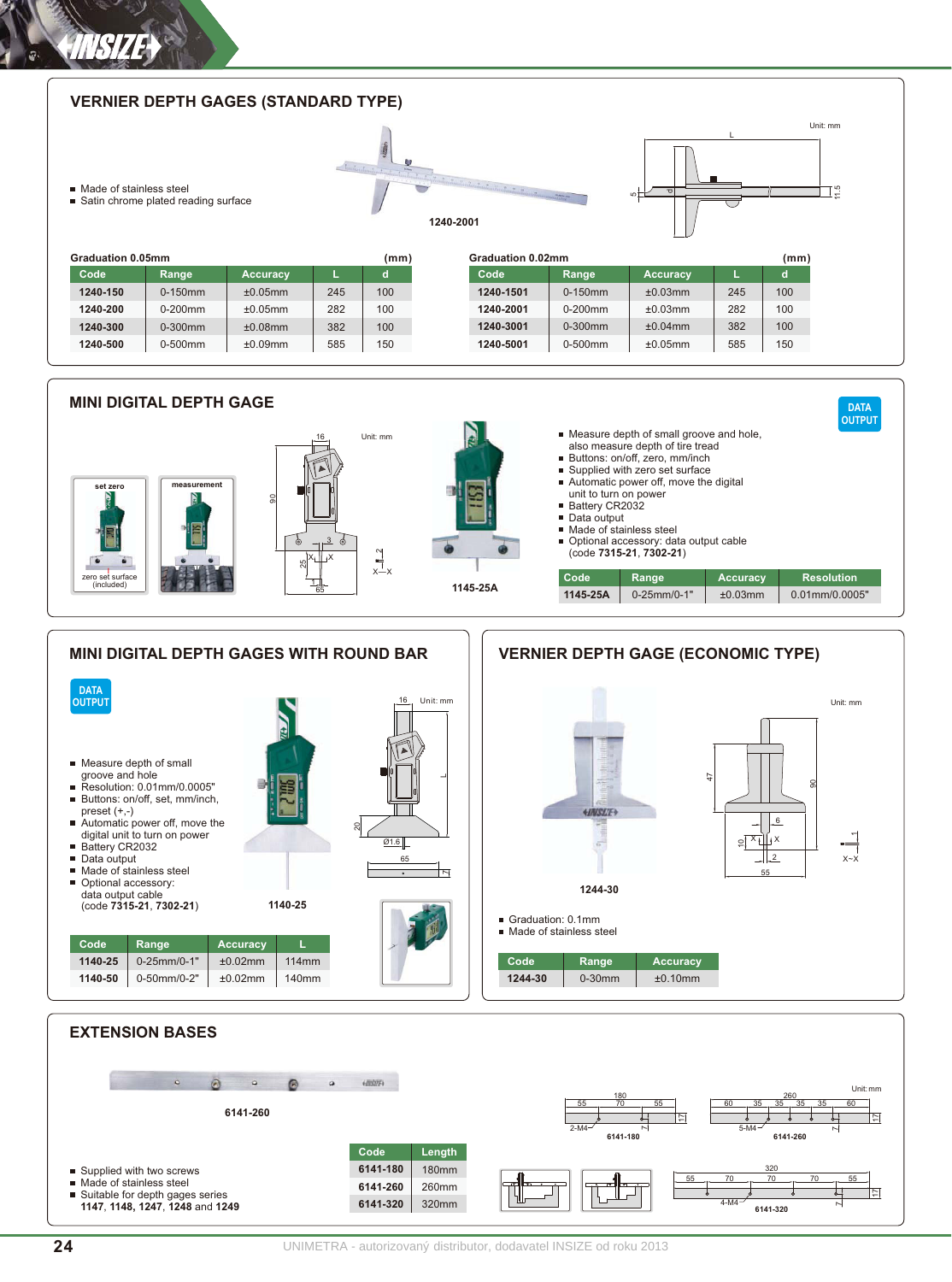**1240-500** 

0-500mm

±0.09mm

585

150

1**240-500** | 0-500mm | ±0.09mm | 585 | 150 1240-5001 | 0-500mm | ±0.05mm | 585 | 150

# ■ Made of stainless steel   = Satin chrome plated reading surface **7----8!** VERNIER DEPTH GAGES (STANDARD TYPE)  1240-2001  $\overline{L}$ قا Unit: mm **Cancellation 0.05mm Graduation 0.02mm** (mm) Graduation 0.02mm  $Code$ **1240-150 1240-200 1240-300** Accuracy L d **Code Range Accuracy**  $+0.05$ mm  $+0.05$ mm  $±0.08mm$  $\overline{\text{Range}}$  $0 - 150$  mm  $0 - 200$ mm 0-300mm 245 282 382 L  $100$  $100$ 100 **2** (mm) Graduation 0.02m Code **1240-1501 1240-2001 1240-3001** Accuracy  $+0.03$ mm  $+0.03$ mm  $±0.04$ mm **Range**  $0 - 150$  mm  $0 - 200$ mm 0-300mm 245 282 382 Ļ  $100$  $100$ 100 **2** (mm) i, Unit: mm 11.5 VERNIER DEPTH GAGES (STANDARD TYPE)<br>
WERNIER DEPTH GAGES (STANDARD TYPE)<br>
Nade of stainess steel<br>
Sain chrome plated reading surface<br>
Code<br>
Tadd-150<br>
Code Range<br>
1240-300<br>
1240-300<br>
1240-300<br>
1240-300<br>
1240-300<br>
1240-500<br> VERNIER DEPTH GAGES (STANDARD TYPE)<br>
WERNIER DEPTH GAGES (STANDARD TYPE)<br>
Sation chrome plated reading surface<br>
E Sation chrome plated reading surface<br>
Craduation 0.05mm<br>
Code<br>
T240-150<br>
T240-300<br>
T240-300<br>
T240-300<br>
T240-1**240-150 0**-150mm + 10.05mm + 245 + 100 + 1**240-1501 +** 0-150mm + 10.03mm + 245 + 100 1**240-200** | 0-200mm | ±0.05mm | 282 | 100 1240-2001 | 0-200mm | ±0.03mm | 282 | 100 **1240-300 |** 0-300mm | ±0.08mm | 382 | 100 **1240-3001** | 0-300mm | ±0.04mm | 382 | 100

**1240-5001** 

0-500mm

 $±0.05mm$ 

585

150





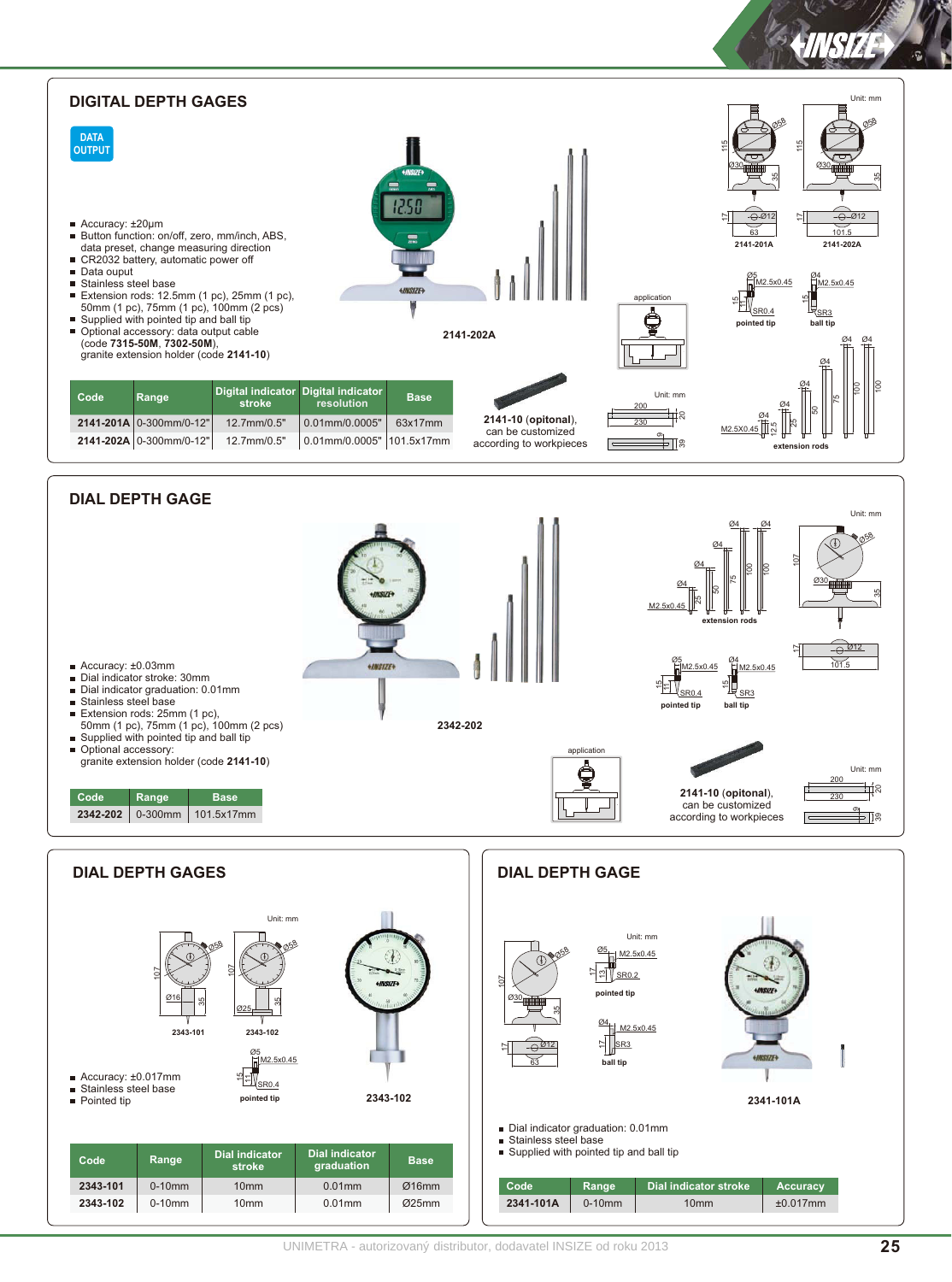

UNIMETRA - autorizovaný distributor, dodavatel INSIZE od roku 2013